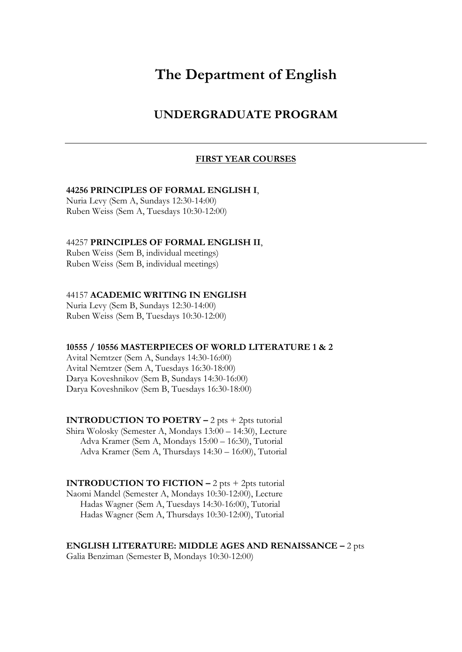# **The Department of English**

## **UNDERGRADUATE PROGRAM**

#### **FIRST YEAR COURSES**

#### **44256 PRINCIPLES OF FORMAL ENGLISH I**,

Nuria Levy (Sem A, Sundays 12:30-14:00) Ruben Weiss (Sem A, Tuesdays 10:30-12:00)

#### 44257 **PRINCIPLES OF FORMAL ENGLISH II**,

Ruben Weiss (Sem B, individual meetings) Ruben Weiss (Sem B, individual meetings)

#### 44157 **ACADEMIC WRITING IN ENGLISH**

Nuria Levy (Sem B, Sundays 12:30-14:00) Ruben Weiss (Sem B, Tuesdays 10:30-12:00)

#### **10555 / 10556 MASTERPIECES OF WORLD LITERATURE 1 & 2**

Avital Nemtzer (Sem A, Sundays 14:30-16:00) Avital Nemtzer (Sem A, Tuesdays 16:30-18:00) Darya Koveshnikov (Sem B, Sundays 14:30-16:00) Darya Koveshnikov (Sem B, Tuesdays 16:30-18:00)

**INTRODUCTION TO POETRY –** 2 pts + 2pts tutorial Shira Wolosky (Semester A, Mondays 13:00 – 14:30), Lecture Adva Kramer (Sem A, Mondays 15:00 – 16:30), Tutorial Adva Kramer (Sem A, Thursdays 14:30 – 16:00), Tutorial

**INTRODUCTION TO FICTION –** 2 pts + 2pts tutorial Naomi Mandel (Semester A, Mondays 10:30-12:00), Lecture Hadas Wagner (Sem A, Tuesdays 14:30-16:00), Tutorial Hadas Wagner (Sem A, Thursdays 10:30-12:00), Tutorial

**ENGLISH LITERATURE: MIDDLE AGES AND RENAISSANCE –** 2 pts

Galia Benziman (Semester B, Mondays 10:30-12:00)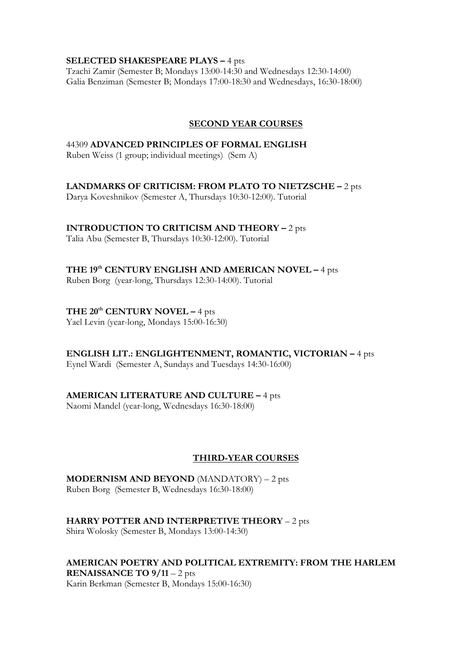#### **SELECTED SHAKESPEARE PLAYS –** 4 pts

Tzachi Zamir (Semester B; Mondays 13:00-14:30 and Wednesdays 12:30-14:00) Galia Benziman (Semester B; Mondays 17:00-18:30 and Wednesdays, 16:30-18:00)

## **SECOND YEAR COURSES**

## 44309 **ADVANCED PRINCIPLES OF FORMAL ENGLISH**

Ruben Weiss (1 group; individual meetings) (Sem A)

## **LANDMARKS OF CRITICISM: FROM PLATO TO NIETZSCHE –** 2 pts

Darya Koveshnikov (Semester A, Thursdays 10:30-12:00). Tutorial

## **INTRODUCTION TO CRITICISM AND THEORY –** 2 pts

Talia Abu (Semester B, Thursdays 10:30-12:00). Tutorial

## **THE 19th CENTURY ENGLISH AND AMERICAN NOVEL –** 4 pts

Ruben Borg (year-long, Thursdays 12:30-14:00). Tutorial

## **THE 20th CENTURY NOVEL –** 4 pts

Yael Levin (year-long, Mondays 15:00-16:30)

## **ENGLISH LIT.: ENGLIGHTENMENT, ROMANTIC, VICTORIAN –** 4 pts

Eynel Wardi (Semester A, Sundays and Tuesdays 14:30-16:00)

## **AMERICAN LITERATURE AND CULTURE –** 4 pts

Naomi Mandel (year-long, Wednesdays 16:30-18:00)

## **THIRD-YEAR COURSES**

**MODERNISM AND BEYOND** (MANDATORY) – 2 pts Ruben Borg (Semester B, Wednesdays 16:30-18:00)

#### **HARRY POTTER AND INTERPRETIVE THEORY** – 2 pts Shira Wolosky (Semester B, Mondays 13:00-14:30)

#### **AMERICAN POETRY AND POLITICAL EXTREMITY: FROM THE HARLEM RENAISSANCE TO 9/11** – 2 pts

Karin Berkman (Semester B, Mondays 15:00-16:30)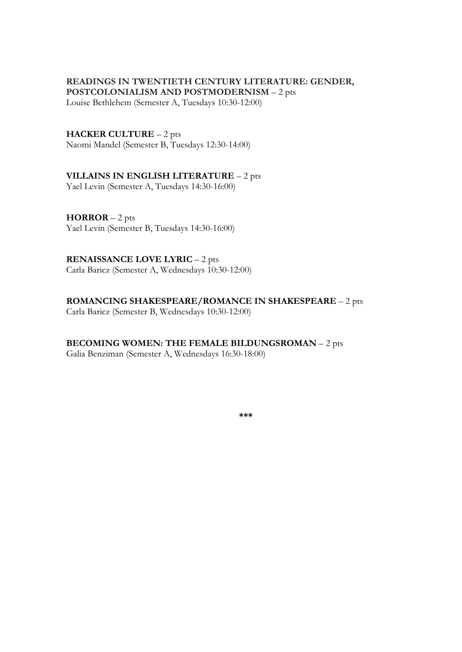## **READINGS IN TWENTIETH CENTURY LITERATURE: GENDER,**

**POSTCOLONIALISM AND POSTMODERNISM** – 2 pts Louise Bethlehem (Semester A, Tuesdays 10:30-12:00)

#### **HACKER CULTURE** – 2 pts

Naomi Mandel (Semester B, Tuesdays 12:30-14:00)

## **VILLAINS IN ENGLISH LITERATURE** – 2 pts

Yael Levin (Semester A, Tuesdays 14:30-16:00)

**HORROR** – 2 pts Yael Levin (Semester B, Tuesdays 14:30-16:00)

#### **RENAISSANCE LOVE LYRIC** – 2 pts

Carla Baricz (Semester A, Wednesdays 10:30-12:00)

#### **ROMANCING SHAKESPEARE/ROMANCE IN SHAKESPEARE** – 2 pts

Carla Baricz (Semester B, Wednesdays 10:30-12:00)

## **BECOMING WOMEN: THE FEMALE BILDUNGSROMAN** – 2 pts

Galia Benziman (Semester A, Wednesdays 16:30-18:00)

**\*\*\***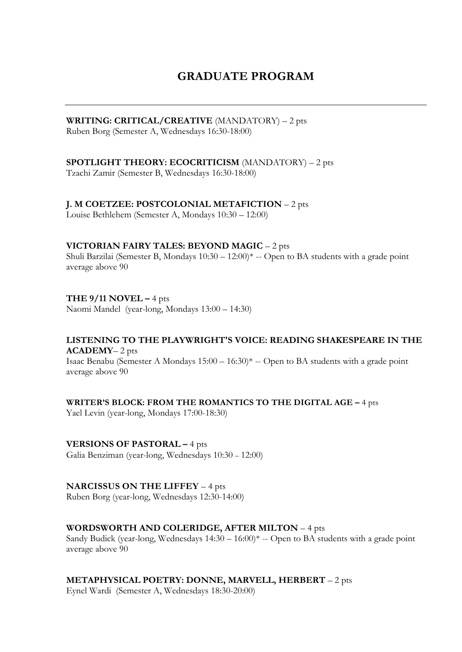## **GRADUATE PROGRAM**

## **WRITING: CRITICAL/CREATIVE** (MANDATORY) – 2 pts

Ruben Borg (Semester A, Wednesdays 16:30-18:00)

## **SPOTLIGHT THEORY: ECOCRITICISM** (MANDATORY) – 2 pts

Tzachi Zamir (Semester B, Wednesdays 16:30-18:00)

## **J. M COETZEE: POSTCOLONIAL METAFICTION** – 2 pts

Louise Bethlehem (Semester A, Mondays 10:30 – 12:00)

#### **VICTORIAN FAIRY TALES: BEYOND MAGIC** – 2 pts

Shuli Barzilai (Semester B, Mondays 10:30 – 12:00)\* -- Open to BA students with a grade point average above 90

## **THE 9/11 NOVEL –** 4 pts

Naomi Mandel (year-long, Mondays 13:00 – 14:30)

#### **LISTENING TO THE PLAYWRIGHT'S VOICE: READING SHAKESPEARE IN THE ACADEMY**– 2 pts

Isaac Benabu (Semester A Mondays 15:00 – 16:30)\* -- Open to BA students with a grade point average above 90

#### **WRITER'S BLOCK: FROM THE ROMANTICS TO THE DIGITAL AGE –** 4 pts

Yael Levin (year-long, Mondays 17:00-18:30)

## **VERSIONS OF PASTORAL –** 4 pts

Galia Benziman (year-long, Wednesdays 10:30 – 12:00)

#### **NARCISSUS ON THE LIFFEY** – 4 pts

Ruben Borg (year-long, Wednesdays 12:30-14:00)

## **WORDSWORTH AND COLERIDGE, AFTER MILTON** – 4 pts

Sandy Budick (year-long, Wednesdays 14:30 – 16:00)\* -- Open to BA students with a grade point average above 90

## **METAPHYSICAL POETRY: DONNE, MARVELL, HERBERT** – 2 pts

Eynel Wardi (Semester A, Wednesdays 18:30-20:00)